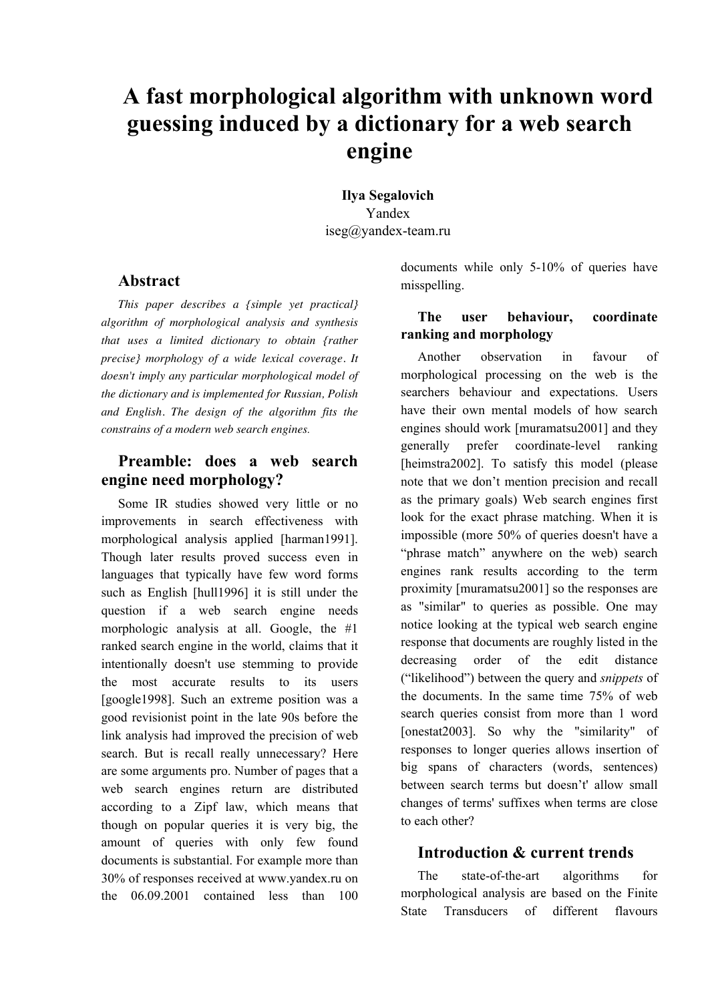# **A fast morphological algorithm with unknown word guessing induced by a dictionary for a web search engine**

**Ilya Segalovich** Yandex iseg@yandex-team.ru

#### **Abstract**

*This paper describes a {simple yet practical} algorithm of morphological analysis and synthesis that uses a limited dictionary to obtain {rather precise} morphology of a wide lexical coverage. It doesn't imply any particular morphological model of the dictionary and is implemented for Russian, Polish and English. The design of the algorithm fits the constrains of a modern web search engines.*

## **Preamble: does a web search engine need morphology?**

Some IR studies showed very little or no improvements in search effectiveness with morphological analysis applied [harman1991]. Though later results proved success even in languages that typically have few word forms such as English [hull1996] it is still under the question if a web search engine needs morphologic analysis at all. Google, the #1 ranked search engine in the world, claims that it intentionally doesn't use stemming to provide the most accurate results to its users [google1998]. Such an extreme position was a good revisionist point in the late 90s before the link analysis had improved the precision of web search. But is recall really unnecessary? Here are some arguments pro. Number of pages that a web search engines return are distributed according to a Zipf law, which means that though on popular queries it is very big, the amount of queries with only few found documents is substantial. For example more than 30% of responses received at www.yandex.ru on the 06.09.2001 contained less than 100

documents while only 5-10% of queries have misspelling.

#### **The user behaviour, coordinate ranking and morphology**

Another observation in favour of morphological processing on the web is the searchers behaviour and expectations. Users have their own mental models of how search engines should work [muramatsu2001] and they generally prefer coordinate-level ranking [heimstra2002]. To satisfy this model (please note that we don't mention precision and recall as the primary goals) Web search engines first look for the exact phrase matching. When it is impossible (more 50% of queries doesn't have a "phrase match" anywhere on the web) search engines rank results according to the term proximity [muramatsu2001] so the responses are as "similar" to queries as possible. One may notice looking at the typical web search engine response that documents are roughly listed in the decreasing order of the edit distance ("likelihood") between the query and *snippets* of the documents. In the same time 75% of web search queries consist from more than 1 word [onestat2003]. So why the "similarity" of responses to longer queries allows insertion of big spans of characters (words, sentences) between search terms but doesn't' allow small changes of terms' suffixes when terms are close to each other?

## **Introduction & current trends**

The state-of-the-art algorithms for morphological analysis are based on the Finite State Transducers of different flavours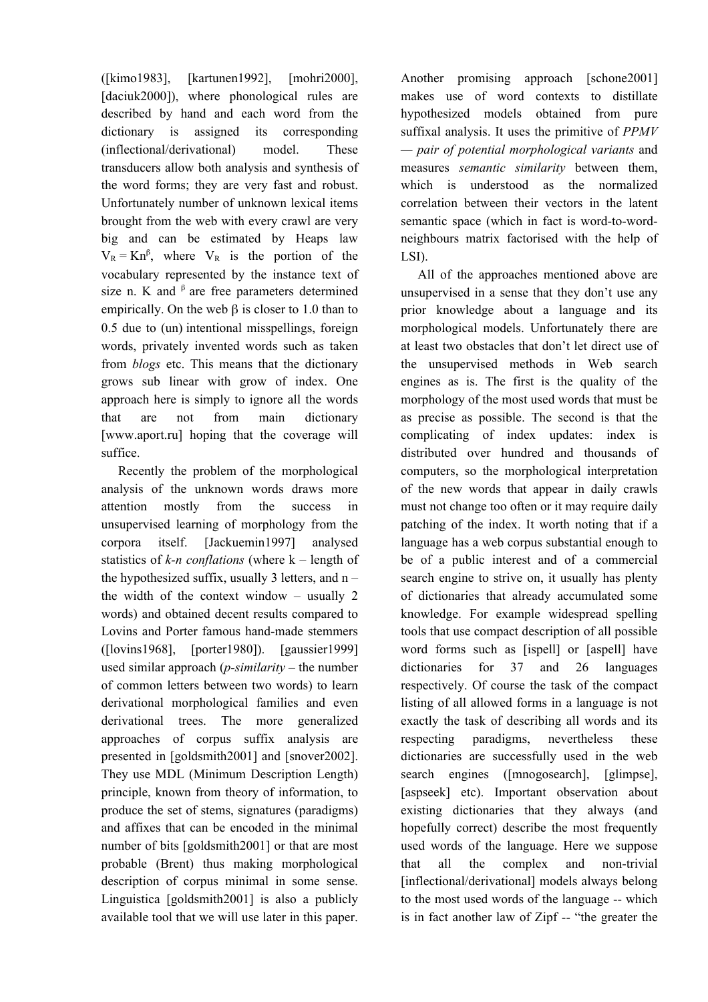([kimo1983], [kartunen1992], [mohri2000], [daciuk2000]), where phonological rules are described by hand and each word from the dictionary is assigned its corresponding (inflectional/derivational) model. These transducers allow both analysis and synthesis of the word forms; they are very fast and robust. Unfortunately number of unknown lexical items brought from the web with every crawl are very big and can be estimated by Heaps law  $V_R = Kn^{\beta}$ , where  $V_R$  is the portion of the vocabulary represented by the instance text of size n. K and  $\beta$  are free parameters determined empirically. On the web β is closer to 1.0 than to 0.5 due to (un) intentional misspellings, foreign words, privately invented words such as taken from *blogs* etc. This means that the dictionary grows sub linear with grow of index. One approach here is simply to ignore all the words that are not from main dictionary [www.aport.ru] hoping that the coverage will suffice.

Recently the problem of the morphological analysis of the unknown words draws more attention mostly from the success in unsupervised learning of morphology from the corpora itself. [Jackuemin1997] analysed statistics of *k-n conflations* (where k – length of the hypothesized suffix, usually 3 letters, and  $n$ the width of the context window – usually 2 words) and obtained decent results compared to Lovins and Porter famous hand-made stemmers ([lovins1968], [porter1980]). [gaussier1999] used similar approach (*p-similarity* – the number of common letters between two words) to learn derivational morphological families and even derivational trees. The more generalized approaches of corpus suffix analysis are presented in [goldsmith2001] and [snover2002]. They use MDL (Minimum Description Length) principle, known from theory of information, to produce the set of stems, signatures (paradigms) and affixes that can be encoded in the minimal number of bits [goldsmith2001] or that are most probable (Brent) thus making morphological description of corpus minimal in some sense. Linguistica [goldsmith2001] is also a publicly available tool that we will use later in this paper.

Another promising approach [schone2001] makes use of word contexts to distillate hypothesized models obtained from pure suffixal analysis. It uses the primitive of *PPMV — pair of potential morphological variants* and measures *semantic similarity* between them, which is understood as the normalized correlation between their vectors in the latent semantic space (which in fact is word-to-wordneighbours matrix factorised with the help of LSI).

All of the approaches mentioned above are unsupervised in a sense that they don't use any prior knowledge about a language and its morphological models. Unfortunately there are at least two obstacles that don't let direct use of the unsupervised methods in Web search engines as is. The first is the quality of the morphology of the most used words that must be as precise as possible. The second is that the complicating of index updates: index is distributed over hundred and thousands of computers, so the morphological interpretation of the new words that appear in daily crawls must not change too often or it may require daily patching of the index. It worth noting that if a language has a web corpus substantial enough to be of a public interest and of a commercial search engine to strive on, it usually has plenty of dictionaries that already accumulated some knowledge. For example widespread spelling tools that use compact description of all possible word forms such as [ispell] or [aspell] have dictionaries for 37 and 26 languages respectively. Of course the task of the compact listing of all allowed forms in a language is not exactly the task of describing all words and its respecting paradigms, nevertheless these dictionaries are successfully used in the web search engines ([mnogosearch], [glimpse], [aspseek] etc). Important observation about existing dictionaries that they always (and hopefully correct) describe the most frequently used words of the language. Here we suppose that all the complex and non-trivial [inflectional/derivational] models always belong to the most used words of the language -- which is in fact another law of Zipf -- "the greater the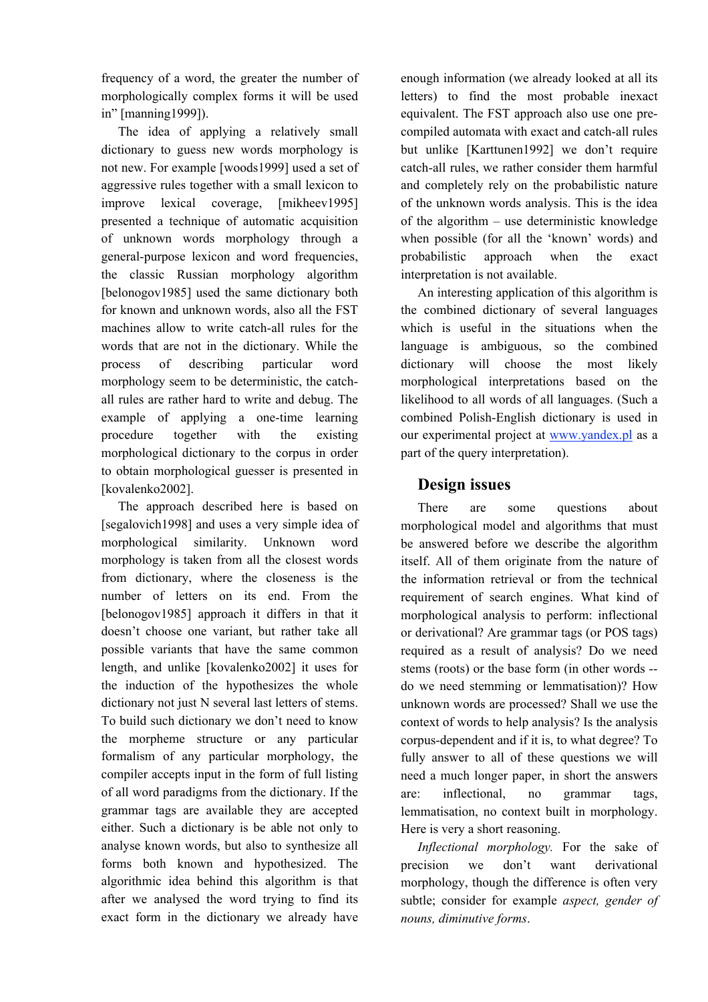frequency of a word, the greater the number of morphologically complex forms it will be used in" [manning1999]).

The idea of applying a relatively small dictionary to guess new words morphology is not new. For example [woods1999] used a set of aggressive rules together with a small lexicon to improve lexical coverage, [mikheev1995] presented a technique of automatic acquisition of unknown words morphology through a general-purpose lexicon and word frequencies, the classic Russian morphology algorithm [belonogov1985] used the same dictionary both for known and unknown words, also all the FST machines allow to write catch-all rules for the words that are not in the dictionary. While the process of describing particular word morphology seem to be deterministic, the catchall rules are rather hard to write and debug. The example of applying a one-time learning procedure together with the existing morphological dictionary to the corpus in order to obtain morphological guesser is presented in [kovalenko2002].

The approach described here is based on [segalovich1998] and uses a very simple idea of morphological similarity. Unknown word morphology is taken from all the closest words from dictionary, where the closeness is the number of letters on its end. From the [belonogov1985] approach it differs in that it doesn't choose one variant, but rather take all possible variants that have the same common length, and unlike [kovalenko2002] it uses for the induction of the hypothesizes the whole dictionary not just N several last letters of stems. To build such dictionary we don't need to know the morpheme structure or any particular formalism of any particular morphology, the compiler accepts input in the form of full listing of all word paradigms from the dictionary. If the grammar tags are available they are accepted either. Such a dictionary is be able not only to analyse known words, but also to synthesize all forms both known and hypothesized. The algorithmic idea behind this algorithm is that after we analysed the word trying to find its exact form in the dictionary we already have

enough information (we already looked at all its letters) to find the most probable inexact equivalent. The FST approach also use one precompiled automata with exact and catch-all rules but unlike [Karttunen1992] we don't require catch-all rules, we rather consider them harmful and completely rely on the probabilistic nature of the unknown words analysis. This is the idea of the algorithm – use deterministic knowledge when possible (for all the 'known' words) and probabilistic approach when the exact interpretation is not available.

An interesting application of this algorithm is the combined dictionary of several languages which is useful in the situations when the language is ambiguous, so the combined dictionary will choose the most likely morphological interpretations based on the likelihood to all words of all languages. (Such a combined Polish-English dictionary is used in our experimental project at www.yandex.pl as a part of the query interpretation).

# **Design issues**

There are some questions about morphological model and algorithms that must be answered before we describe the algorithm itself. All of them originate from the nature of the information retrieval or from the technical requirement of search engines. What kind of morphological analysis to perform: inflectional or derivational? Are grammar tags (or POS tags) required as a result of analysis? Do we need stems (roots) or the base form (in other words - do we need stemming or lemmatisation)? How unknown words are processed? Shall we use the context of words to help analysis? Is the analysis corpus-dependent and if it is, to what degree? To fully answer to all of these questions we will need a much longer paper, in short the answers are: inflectional, no grammar tags, lemmatisation, no context built in morphology. Here is very a short reasoning.

*Inflectional morphology.* For the sake of precision we don't want derivational morphology, though the difference is often very subtle; consider for example *aspect, gender of nouns, diminutive forms*.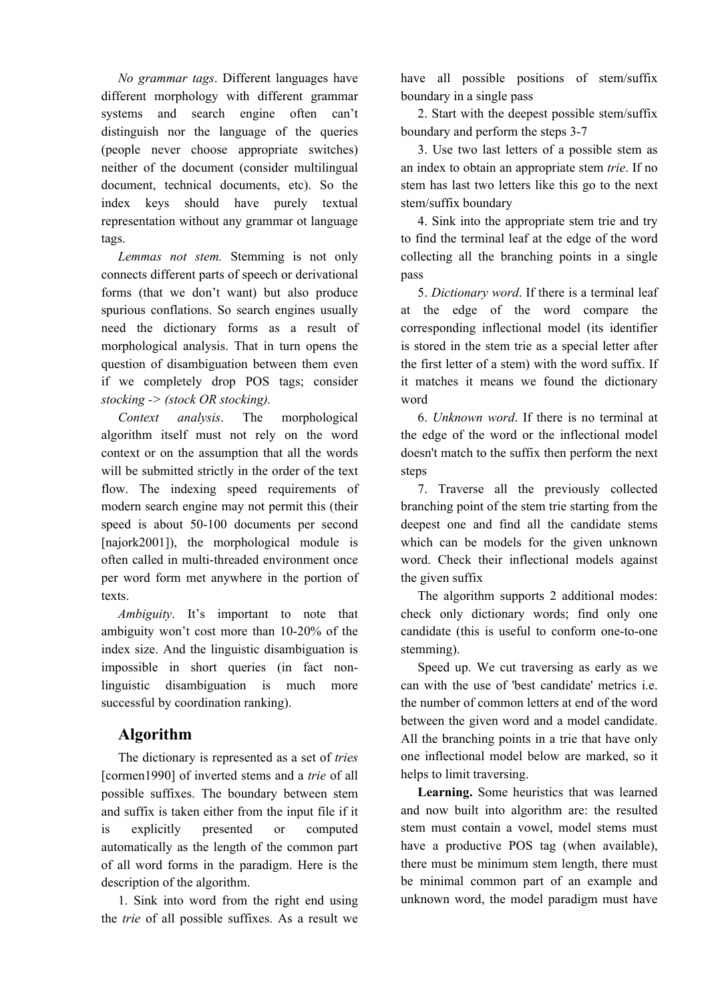*No grammar tags*. Different languages have different morphology with different grammar systems and search engine often can't distinguish nor the language of the queries (people never choose appropriate switches) neither of the document (consider multilingual document, technical documents, etc). So the index keys should have purely textual representation without any grammar ot language tags.

*Lemmas not stem.* Stemming is not only connects different parts of speech or derivational forms (that we don't want) but also produce spurious conflations. So search engines usually need the dictionary forms as a result of morphological analysis. That in turn opens the question of disambiguation between them even if we completely drop POS tags; consider *stocking -> (stock OR stocking).*

*Context analysis*. The morphological algorithm itself must not rely on the word context or on the assumption that all the words will be submitted strictly in the order of the text flow. The indexing speed requirements of modern search engine may not permit this (their speed is about 50-100 documents per second [najork2001]), the morphological module is often called in multi-threaded environment once per word form met anywhere in the portion of texts.

*Ambiguity*. It's important to note that ambiguity won't cost more than 10-20% of the index size. And the linguistic disambiguation is impossible in short queries (in fact nonlinguistic disambiguation is much more successful by coordination ranking).

# **Algorithm**

The dictionary is represented as a set of *tries* [cormen1990] of inverted stems and a *trie* of all possible suffixes. The boundary between stem and suffix is taken either from the input file if it is explicitly presented or computed automatically as the length of the common part of all word forms in the paradigm. Here is the description of the algorithm.

1. Sink into word from the right end using the *trie* of all possible suffixes. As a result we

have all possible positions of stem/suffix boundary in a single pass

2. Start with the deepest possible stem/suffix boundary and perform the steps 3-7

3. Use two last letters of a possible stem as an index to obtain an appropriate stem *trie*. If no stem has last two letters like this go to the next stem/suffix boundary

4. Sink into the appropriate stem trie and try to find the terminal leaf at the edge of the word collecting all the branching points in a single pass

5. *Dictionary word*. If there is a terminal leaf at the edge of the word compare the corresponding inflectional model (its identifier is stored in the stem trie as a special letter after the first letter of a stem) with the word suffix. If it matches it means we found the dictionary word

6. *Unknown word*. If there is no terminal at the edge of the word or the inflectional model doesn't match to the suffix then perform the next steps

7. Traverse all the previously collected branching point of the stem trie starting from the deepest one and find all the candidate stems which can be models for the given unknown word. Check their inflectional models against the given suffix

The algorithm supports 2 additional modes: check only dictionary words; find only one candidate (this is useful to conform one-to-one stemming).

Speed up. We cut traversing as early as we can with the use of 'best candidate' metrics i.e. the number of common letters at end of the word between the given word and a model candidate. All the branching points in a trie that have only one inflectional model below are marked, so it helps to limit traversing.

**Learning.** Some heuristics that was learned and now built into algorithm are: the resulted stem must contain a vowel, model stems must have a productive POS tag (when available), there must be minimum stem length, there must be minimal common part of an example and unknown word, the model paradigm must have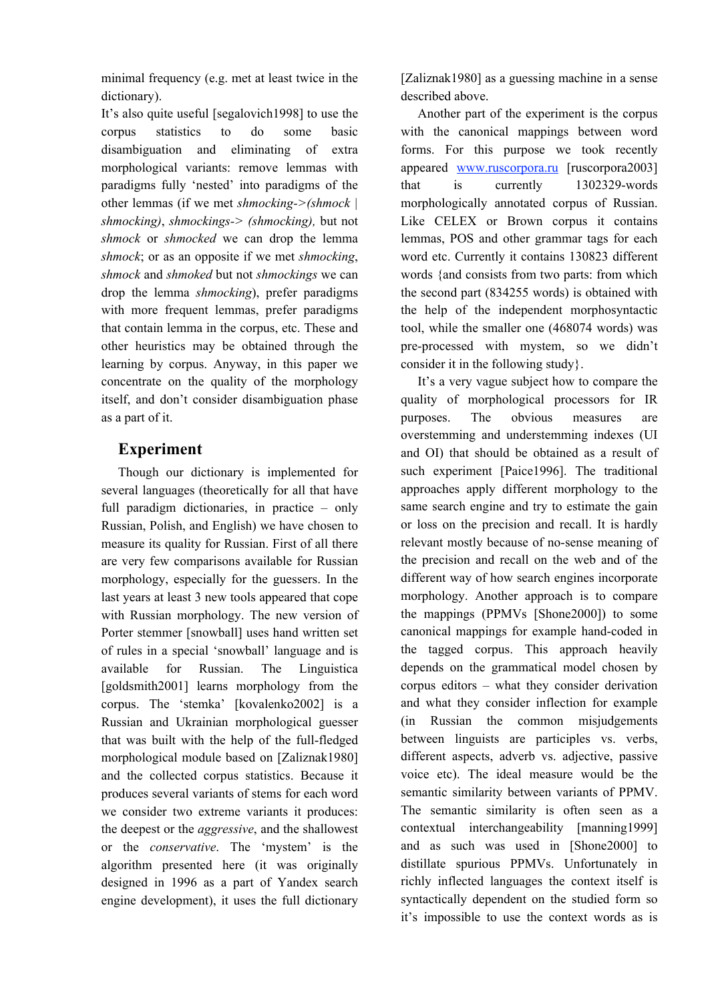minimal frequency (e.g. met at least twice in the dictionary).

It's also quite useful [segalovich1998] to use the corpus statistics to do some basic disambiguation and eliminating of extra morphological variants: remove lemmas with paradigms fully 'nested' into paradigms of the other lemmas (if we met *shmocking->(shmock | shmocking)*, *shmockings-> (shmocking),* but not *shmock* or *shmocked* we can drop the lemma *shmock*; or as an opposite if we met *shmocking*, *shmock* and *shmoked* but not *shmockings* we can drop the lemma *shmocking*), prefer paradigms with more frequent lemmas, prefer paradigms that contain lemma in the corpus, etc. These and other heuristics may be obtained through the learning by corpus. Anyway, in this paper we concentrate on the quality of the morphology itself, and don't consider disambiguation phase as a part of it.

# **Experiment**

Though our dictionary is implemented for several languages (theoretically for all that have full paradigm dictionaries, in practice – only Russian, Polish, and English) we have chosen to measure its quality for Russian. First of all there are very few comparisons available for Russian morphology, especially for the guessers. In the last years at least 3 new tools appeared that cope with Russian morphology. The new version of Porter stemmer [snowball] uses hand written set of rules in a special 'snowball' language and is available for Russian. The Linguistica [goldsmith2001] learns morphology from the corpus. The 'stemka' [kovalenko2002] is a Russian and Ukrainian morphological guesser that was built with the help of the full-fledged morphological module based on [Zaliznak1980] and the collected corpus statistics. Because it produces several variants of stems for each word we consider two extreme variants it produces: the deepest or the *aggressive*, and the shallowest or the *conservative*. The 'mystem' is the algorithm presented here (it was originally designed in 1996 as a part of Yandex search engine development), it uses the full dictionary

[Zaliznak1980] as a guessing machine in a sense described above.

Another part of the experiment is the corpus with the canonical mappings between word forms. For this purpose we took recently appeared www.ruscorpora.ru [ruscorpora2003] that is currently 1302329-words morphologically annotated corpus of Russian. Like CELEX or Brown corpus it contains lemmas, POS and other grammar tags for each word etc. Currently it contains 130823 different words {and consists from two parts: from which the second part (834255 words) is obtained with the help of the independent morphosyntactic tool, while the smaller one (468074 words) was pre-processed with mystem, so we didn't consider it in the following study}.

It's a very vague subject how to compare the quality of morphological processors for IR purposes. The obvious measures are overstemming and understemming indexes (UI and OI) that should be obtained as a result of such experiment [Paice1996]. The traditional approaches apply different morphology to the same search engine and try to estimate the gain or loss on the precision and recall. It is hardly relevant mostly because of no-sense meaning of the precision and recall on the web and of the different way of how search engines incorporate morphology. Another approach is to compare the mappings (PPMVs [Shone2000]) to some canonical mappings for example hand-coded in the tagged corpus. This approach heavily depends on the grammatical model chosen by corpus editors – what they consider derivation and what they consider inflection for example (in Russian the common misjudgements between linguists are participles vs. verbs, different aspects, adverb vs. adjective, passive voice etc). The ideal measure would be the semantic similarity between variants of PPMV. The semantic similarity is often seen as a contextual interchangeability [manning1999] and as such was used in [Shone2000] to distillate spurious PPMVs. Unfortunately in richly inflected languages the context itself is syntactically dependent on the studied form so it's impossible to use the context words as is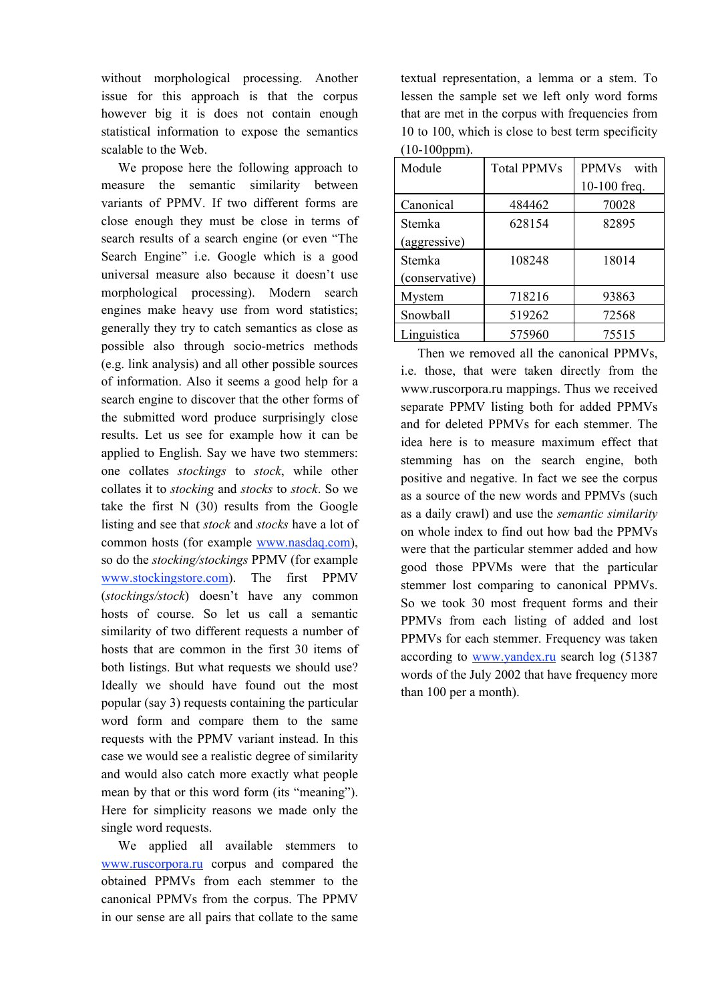without morphological processing. Another issue for this approach is that the corpus however big it is does not contain enough statistical information to expose the semantics scalable to the Web.

We propose here the following approach to measure the semantic similarity between variants of PPMV. If two different forms are close enough they must be close in terms of search results of a search engine (or even "The Search Engine" i.e. Google which is a good universal measure also because it doesn't use morphological processing). Modern search engines make heavy use from word statistics; generally they try to catch semantics as close as possible also through socio-metrics methods (e.g. link analysis) and all other possible sources of information. Also it seems a good help for a search engine to discover that the other forms of the submitted word produce surprisingly close results. Let us see for example how it can be applied to English. Say we have two stemmers: one collates *stockings* to *stock*, while other collates it to *stocking* and *stocks* to *stock*. So we take the first N (30) results from the Google listing and see that *stock* and *stocks* have a lot of common hosts (for example www.nasdaq.com), so do the *stocking/stockings* PPMV (for example www.stockingstore.com). The first PPMV (*stockings/stock*) doesn't have any common hosts of course. So let us call a semantic similarity of two different requests a number of hosts that are common in the first 30 items of both listings. But what requests we should use? Ideally we should have found out the most popular (say 3) requests containing the particular word form and compare them to the same requests with the PPMV variant instead. In this case we would see a realistic degree of similarity and would also catch more exactly what people mean by that or this word form (its "meaning"). Here for simplicity reasons we made only the single word requests.

We applied all available stemmers to www.ruscorpora.ru corpus and compared the obtained PPMVs from each stemmer to the canonical PPMVs from the corpus. The PPMV in our sense are all pairs that collate to the same

textual representation, a lemma or a stem. To lessen the sample set we left only word forms that are met in the corpus with frequencies from 10 to 100, which is close to best term specificity (10-100ppm).

| Module         | <b>Total PPMVs</b> | <b>PPMVs</b><br>with |  |
|----------------|--------------------|----------------------|--|
|                |                    | 10-100 freq.         |  |
| Canonical      | 484462             | 70028                |  |
| Stemka         | 628154             | 82895                |  |
| (aggressive)   |                    |                      |  |
| Stemka         | 108248             | 18014                |  |
| (conservative) |                    |                      |  |
| Mystem         | 718216             | 93863                |  |
| Snowball       | 519262             | 72568                |  |
| Linguistica    | 575960             | 75515                |  |

Then we removed all the canonical PPMVs, i.e. those, that were taken directly from the www.ruscorpora.ru mappings. Thus we received separate PPMV listing both for added PPMVs and for deleted PPMVs for each stemmer. The idea here is to measure maximum effect that stemming has on the search engine, both positive and negative. In fact we see the corpus as a source of the new words and PPMVs (such as a daily crawl) and use the *semantic similarity* on whole index to find out how bad the PPMVs were that the particular stemmer added and how good those PPVMs were that the particular stemmer lost comparing to canonical PPMVs. So we took 30 most frequent forms and their PPMVs from each listing of added and lost PPMVs for each stemmer. Frequency was taken according to www.yandex.ru search log (51387 words of the July 2002 that have frequency more than 100 per a month).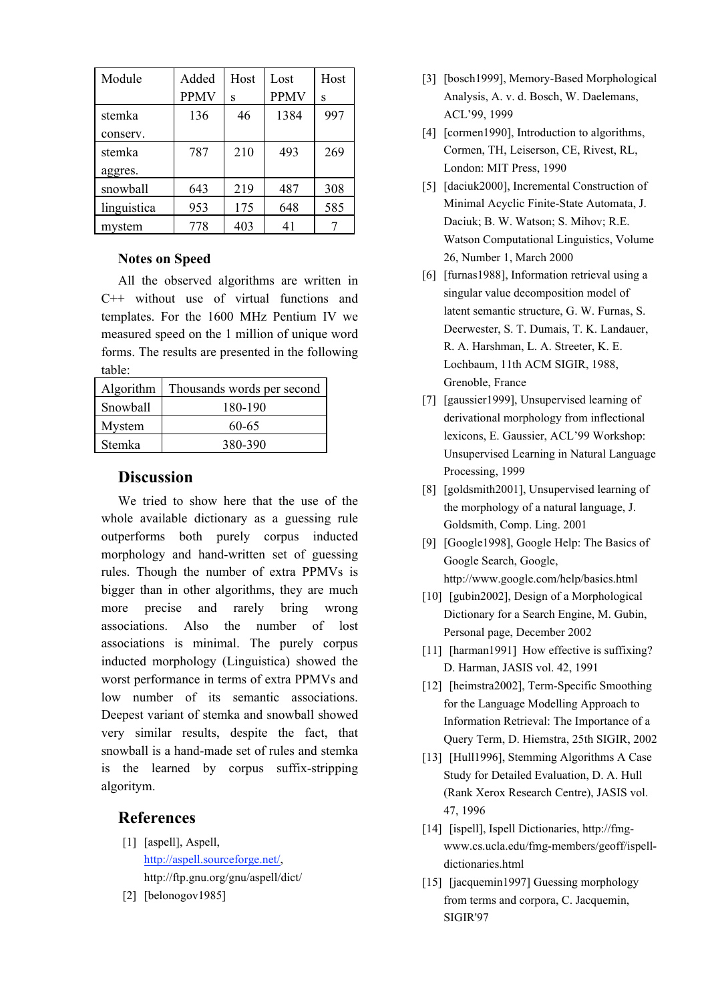| Module      | Added       | Host | Lost        | Host |
|-------------|-------------|------|-------------|------|
|             | <b>PPMV</b> | S    | <b>PPMV</b> | S    |
| stemka      | 136         | 46   | 1384        | 997  |
| conserv.    |             |      |             |      |
| stemka      | 787         | 210  | 493         | 269  |
| aggres.     |             |      |             |      |
| snowball    | 643         | 219  | 487         | 308  |
| linguistica | 953         | 175  | 648         | 585  |
| mystem      | 778         | 403  | 41          |      |

#### **Notes on Speed**

All the observed algorithms are written in C++ without use of virtual functions and templates. For the 1600 MHz Pentium IV we measured speed on the 1 million of unique word forms. The results are presented in the following table:

| Algorithm | Thousands words per second |  |
|-----------|----------------------------|--|
| Snowball  | 180-190                    |  |
| Mystem    | 60-65                      |  |
| Stemka    | 380-390                    |  |

## **Discussion**

We tried to show here that the use of the whole available dictionary as a guessing rule outperforms both purely corpus inducted morphology and hand-written set of guessing rules. Though the number of extra PPMVs is bigger than in other algorithms, they are much more precise and rarely bring wrong associations. Also the number of lost associations is minimal. The purely corpus inducted morphology (Linguistica) showed the worst performance in terms of extra PPMVs and low number of its semantic associations. Deepest variant of stemka and snowball showed very similar results, despite the fact, that snowball is a hand-made set of rules and stemka is the learned by corpus suffix-stripping algoritym.

## **References**

- [1] [aspell], Aspell, http://aspell.sourceforge.net/, http://ftp.gnu.org/gnu/aspell/dict/
- [2] [belonogov1985]
- [3] [bosch1999], Memory-Based Morphological Analysis, A. v. d. Bosch, W. Daelemans, ACL'99, 1999
- [4] [cormen1990], Introduction to algorithms, Cormen, TH, Leiserson, CE, Rivest, RL, London: MIT Press, 1990
- [5] [daciuk2000], Incremental Construction of Minimal Acyclic Finite-State Automata, J. Daciuk; B. W. Watson; S. Mihov; R.E. Watson Computational Linguistics, Volume 26, Number 1, March 2000
- [6] [furnas1988], Information retrieval using a singular value decomposition model of latent semantic structure, G. W. Furnas, S. Deerwester, S. T. Dumais, T. K. Landauer, R. A. Harshman, L. A. Streeter, K. E. Lochbaum, 11th ACM SIGIR, 1988, Grenoble, France
- [7] [gaussier1999], Unsupervised learning of derivational morphology from inflectional lexicons, E. Gaussier, ACL'99 Workshop: Unsupervised Learning in Natural Language Processing, 1999
- [8] [goldsmith2001], Unsupervised learning of the morphology of a natural language, J. Goldsmith, Comp. Ling. 2001
- [9] [Google1998], Google Help: The Basics of Google Search, Google, http://www.google.com/help/basics.html
- [10] [gubin2002], Design of a Morphological Dictionary for a Search Engine, M. Gubin, Personal page, December 2002
- [11] [harman1991] How effective is suffixing? D. Harman, JASIS vol. 42, 1991
- [12] [heimstra2002], Term-Specific Smoothing for the Language Modelling Approach to Information Retrieval: The Importance of a Query Term, D. Hiemstra, 25th SIGIR, 2002
- [13] [Hull1996], Stemming Algorithms A Case Study for Detailed Evaluation, D. A. Hull (Rank Xerox Research Centre), JASIS vol. 47, 1996
- [14] [ispell], Ispell Dictionaries, http://fmgwww.cs.ucla.edu/fmg-members/geoff/ispelldictionaries.html
- [15] [jacquemin1997] Guessing morphology from terms and corpora, C. Jacquemin, SIGIR'97